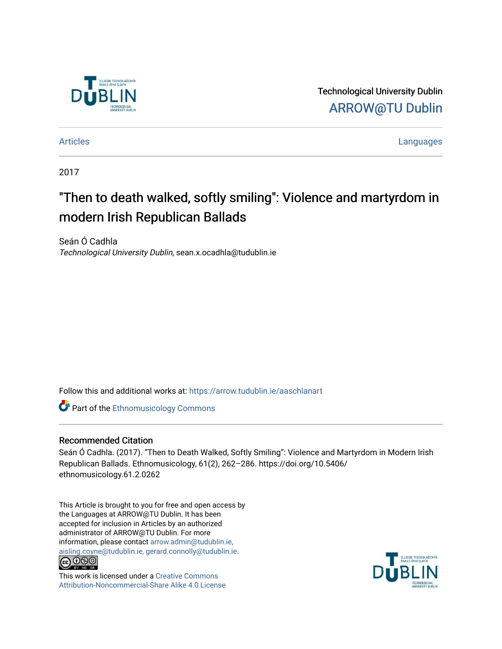

Technological University Dublin [ARROW@TU Dublin](https://arrow.tudublin.ie/) 

[Articles](https://arrow.tudublin.ie/aaschlanart) **Languages** 

2017

# "Then to death walked, softly smiling": Violence and martyrdom in modern Irish Republican Ballads

Seán Ó Cadhla Technological University Dublin, sean.x.ocadhla@tudublin.ie

Follow this and additional works at: [https://arrow.tudublin.ie/aaschlanart](https://arrow.tudublin.ie/aaschlanart?utm_source=arrow.tudublin.ie%2Faaschlanart%2F50&utm_medium=PDF&utm_campaign=PDFCoverPages) 

**Part of the Ethnomusicology Commons** 

# Recommended Citation

Seán Ó Cadhla. (2017). "Then to Death Walked, Softly Smiling": Violence and Martyrdom in Modern Irish Republican Ballads. Ethnomusicology, 61(2), 262–286. https://doi.org/10.5406/ ethnomusicology.61.2.0262

This Article is brought to you for free and open access by the Languages at ARROW@TU Dublin. It has been accepted for inclusion in Articles by an authorized administrator of ARROW@TU Dublin. For more information, please contact [arrow.admin@tudublin.ie,](mailto:arrow.admin@tudublin.ie,%20aisling.coyne@tudublin.ie,%20gerard.connolly@tudublin.ie)  [aisling.coyne@tudublin.ie, gerard.connolly@tudublin.ie](mailto:arrow.admin@tudublin.ie,%20aisling.coyne@tudublin.ie,%20gerard.connolly@tudublin.ie).<br>
co 000



This work is licensed under a [Creative Commons](http://creativecommons.org/licenses/by-nc-sa/4.0/) [Attribution-Noncommercial-Share Alike 4.0 License](http://creativecommons.org/licenses/by-nc-sa/4.0/)

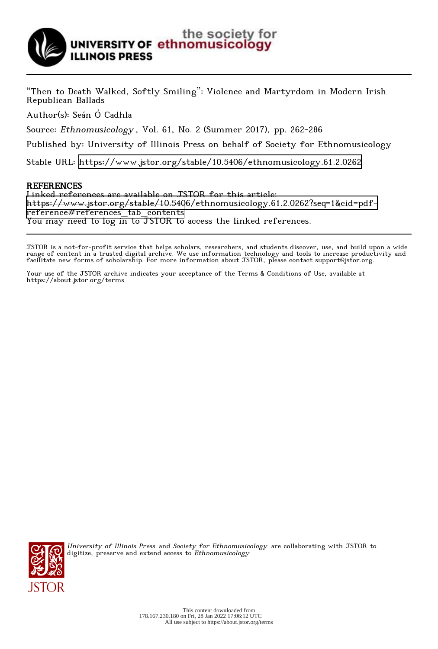# the society for<br>UNIVERSITY OF ethnomusicology **ILLINOIS PRESS**

"Then to Death Walked, Softly Smiling": Violence and Martyrdom in Modern Irish Republican Ballads

Author(s): Seán Ó Cadhla

Source: Ethnomusicology , Vol. 61, No. 2 (Summer 2017), pp. 262-286

Published by: University of Illinois Press on behalf of Society for Ethnomusicology

Stable URL:<https://www.jstor.org/stable/10.5406/ethnomusicology.61.2.0262>

# REFERENCES

Linked references are available on JSTOR for this article: [https://www.jstor.org/stable/10.5406/ethnomusicology.61.2.0262?seq=1&cid=pdf](https://www.jstor.org/stable/10.5406/ethnomusicology.61.2.0262?seq=1&cid=pdf-reference#references_tab_contents)[reference#references\\_tab\\_contents](https://www.jstor.org/stable/10.5406/ethnomusicology.61.2.0262?seq=1&cid=pdf-reference#references_tab_contents) You may need to log in to JSTOR to access the linked references.

JSTOR is a not-for-profit service that helps scholars, researchers, and students discover, use, and build upon a wide range of content in a trusted digital archive. We use information technology and tools to increase productivity and facilitate new forms of scholarship. For more information about JSTOR, please contact support@jstor.org.

Your use of the JSTOR archive indicates your acceptance of the Terms & Conditions of Use, available at https://about.jstor.org/terms



University of Illinois Press and Society for Ethnomusicology are collaborating with JSTOR to digitize, preserve and extend access to Ethnomusicology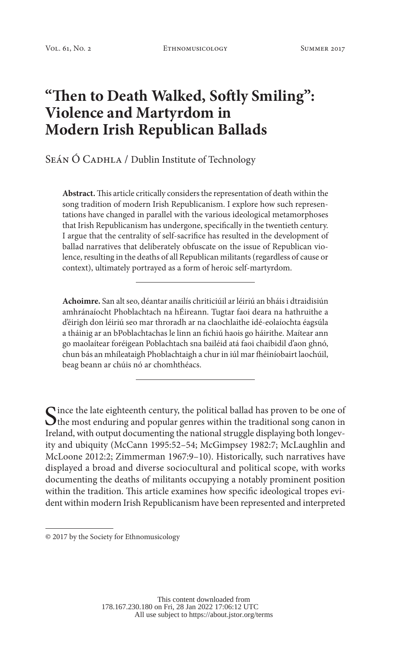# **"Then to Death Walked, Softly Smiling": Violence and Martyrdom in Modern Irish Republican Ballads**

SEÁN Ó CADHLA / Dublin Institute of Technology

**Abstract.** This article critically considers the representation of death within the song tradition of modern Irish Republicanism. I explore how such representations have changed in parallel with the various ideological metamorphoses that Irish Republicanism has undergone, specifically in the twentieth century. I argue that the centrality of self- sacrifice has resulted in the development of ballad narratives that deliberately obfuscate on the issue of Republican violence, resulting in the deaths of all Republican militants (regardless of cause or context), ultimately portrayed as a form of heroic self-martyrdom.

**Achoimre.** San alt seo, déantar anailís chriticiúil ar léiriú an bháis i dtraidisiún amhránaíocht Phoblachtach na hÉireann. Tugtar faoi deara na hathruithe a d'éirigh don léiriú seo mar throradh ar na claochlaithe idé- eolaíochta éagsúla a tháinig ar an bPoblachtachas le linn an fichiú haois go háirithe. Maítear ann go maolaítear foréigean Poblachtach sna bailéid atá faoi chaibidil d'aon ghnó, chun bás an mhíleataigh Phoblachtaigh a chur in iúl mar fhéiníobairt laochúil, beag beann ar chúis nó ar chomhthéacs.

Since the late eighteenth century, the political ballad has proven to be one of the most enduring and popular genres within the traditional song canon in Ireland, with output documenting the national struggle displaying both longevity and ubiquity (McCann 1995:52–54; McGimpsey 1982:7; McLaughlin and McLoone 2012:2; Zimmerman 1967:9–10). Historically, such narratives have displayed a broad and diverse sociocultural and political scope, with works documenting the deaths of militants occupying a notably prominent position within the tradition. This article examines how specific ideological tropes evident within modern Irish Republicanism have been represented and interpreted

<sup>© 2017</sup> by the Society for Ethnomusicology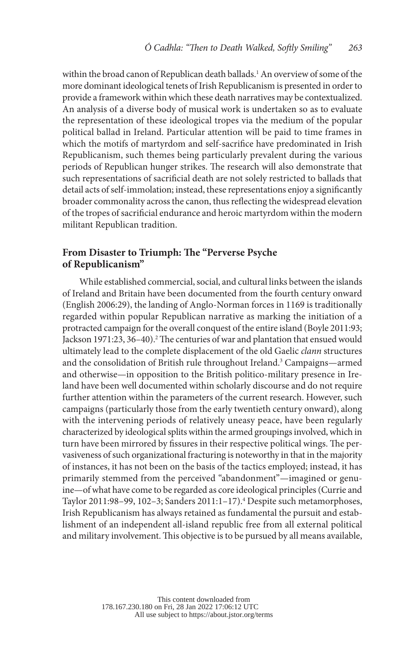within the broad canon of Republican death ballads.1 An overview of some of the more dominant ideological tenets of Irish Republicanism is presented in order to provide a framework within which these death narratives may be contextualized. An analysis of a diverse body of musical work is undertaken so as to evaluate the representation of these ideological tropes via the medium of the popular political ballad in Ireland. Particular attention will be paid to time frames in which the motifs of martyrdom and self- sacrifice have predominated in Irish Republicanism, such themes being particularly prevalent during the various periods of Republican hunger strikes. The research will also demonstrate that such representations of sacrificial death are not solely restricted to ballads that detail acts of self- immolation; instead, these representations enjoy a significantly broader commonality across the canon, thus reflecting the widespread elevation of the tropes of sacrificial endurance and heroic martyrdom within the modern militant Republican tradition.

# **From Disaster to Triumph: The "Perverse Psyche of Republicanism"**

While established commercial, social, and cultural links between the islands of Ireland and Britain have been documented from the fourth century onward (English 2006:29), the landing of Anglo- Norman forces in 1169 is traditionally regarded within popular Republican narrative as marking the initiation of a protracted campaign for the overall conquest of the entire island (Boyle 2011:93; Jackson 1971:23, 36–40).<sup>2</sup> The centuries of war and plantation that ensued would ultimately lead to the complete displacement of the old Gaelic *clann* structures and the consolidation of British rule throughout Ireland.<sup>3</sup> Campaigns—armed and otherwise—in opposition to the British politico- military presence in Ireland have been well documented within scholarly discourse and do not require further attention within the parameters of the current research. However, such campaigns (particularly those from the early twentieth century onward), along with the intervening periods of relatively uneasy peace, have been regularly characterized by ideological splits within the armed groupings involved, which in turn have been mirrored by fissures in their respective political wings. The pervasiveness of such organizational fracturing is noteworthy in that in the majority of instances, it has not been on the basis of the tactics employed; instead, it has primarily stemmed from the perceived "abandonment"—imagined or genuine—of what have come to be regarded as core ideological principles (Currie and Taylor 2011:98–99, 102–3; Sanders 2011:1–17).4 Despite such metamorphoses, Irish Republicanism has always retained as fundamental the pursuit and establishment of an independent all-island republic free from all external political and military involvement. This objective is to be pursued by all means available,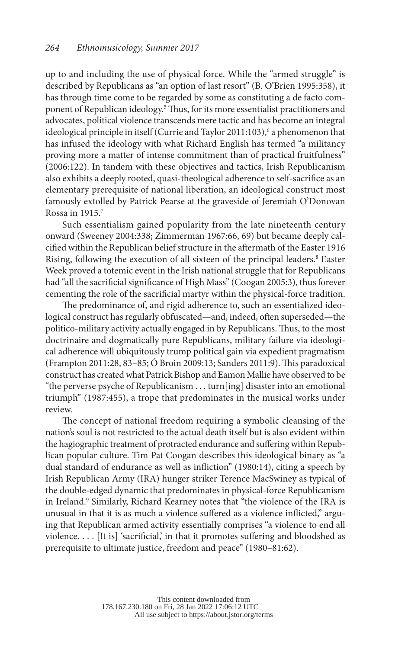up to and including the use of physical force. While the "armed struggle" is described by Republicans as "an option of last resort" (B. O'Brien 1995:358), it has through time come to be regarded by some as constituting a de facto component of Republican ideology.5 Thus, for its more essentialist practitioners and advocates, political violence transcends mere tactic and has become an integral ideological principle in itself (Currie and Taylor 2011:103),<sup>6</sup> a phenomenon that has infused the ideology with what Richard English has termed "a militancy proving more a matter of intense commitment than of practical fruitfulness" (2006:122). In tandem with these objectives and tactics, Irish Republicanism also exhibits a deeply rooted, quasi- theological adherence to self- sacrifice as an elementary prerequisite of national liberation, an ideological construct most famously extolled by Patrick Pearse at the graveside of Jeremiah O'Donovan Rossa in 1915.7

 Such essentialism gained popularity from the late nineteenth century onward (Sweeney 2004:338; Zimmerman 1967:66, 69) but became deeply calcified within the Republican belief structure in the aftermath of the Easter 1916 Rising, following the execution of all sixteen of the principal leaders.<sup>8</sup> Easter Week proved a totemic event in the Irish national struggle that for Republicans had "all the sacrificial significance of High Mass" (Coogan 2005:3), thus forever cementing the role of the sacrificial martyr within the physical- force tradition.

 The predominance of, and rigid adherence to, such an essentialized ideological construct has regularly obfuscated—and, indeed, often superseded—the politico- military activity actually engaged in by Republicans. Thus, to the most doctrinaire and dogmatically pure Republicans, military failure via ideological adherence will ubiquitously trump political gain via expedient pragmatism (Frampton 2011:28, 83–85; Ó Broin 2009:13; Sanders 2011:9). This paradoxical construct has created what Patrick Bishop and Eamon Mallie have observed to be "the perverse psyche of Republicanism . . . turn[ing] disaster into an emotional triumph" (1987:455), a trope that predominates in the musical works under review.

 The concept of national freedom requiring a symbolic cleansing of the nation's soul is not restricted to the actual death itself but is also evident within the hagiographic treatment of protracted endurance and suffering within Republican popular culture. Tim Pat Coogan describes this ideological binary as "a dual standard of endurance as well as infliction" (1980:14), citing a speech by Irish Republican Army (IRA) hunger striker Terence MacSwiney as typical of the double- edged dynamic that predominates in physical- force Republicanism in Ireland.9 Similarly, Richard Kearney notes that "the violence of the IRA is unusual in that it is as much a violence suffered as a violence inflicted," arguing that Republican armed activity essentially comprises "a violence to end all violence. . . . [It is] 'sacrificial,' in that it promotes suffering and bloodshed as prerequisite to ultimate justice, freedom and peace" (1980–81:62).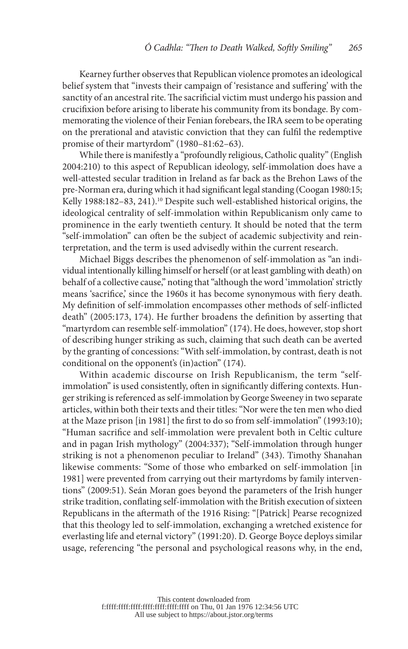Kearney further observes that Republican violence promotes an ideological belief system that "invests their campaign of 'resistance and suffering' with the sanctity of an ancestral rite. The sacrificial victim must undergo his passion and crucifixion before arising to liberate his community from its bondage. By commemorating the violence of their Fenian forebears, the IRA seem to be operating on the prerational and atavistic conviction that they can fulfil the redemptive promise of their martyrdom" (1980–81:62–63).

 While there is manifestly a "profoundly religious, Catholic quality" (English 2004:210) to this aspect of Republican ideology, self-immolation does have a well- attested secular tradition in Ireland as far back as the Brehon Laws of the pre- Norman era, during which it had significant legal standing (Coogan 1980:15; Kelly 1988:182-83, 241).<sup>10</sup> Despite such well-established historical origins, the ideological centrality of self-immolation within Republicanism only came to prominence in the early twentieth century. It should be noted that the term "self- immolation" can often be the subject of academic subjectivity and reinterpretation, and the term is used advisedly within the current research.

Michael Biggs describes the phenomenon of self-immolation as "an individual intentionally killing himself or herself (or at least gambling with death) on behalf of a collective cause," noting that "although the word 'immolation' strictly means 'sacrifice,' since the 1960s it has become synonymous with fiery death. My definition of self- immolation encompasses other methods of self- inflicted death" (2005:173, 174). He further broadens the definition by asserting that "martyrdom can resemble self-immolation" (174). He does, however, stop short of describing hunger striking as such, claiming that such death can be averted by the granting of concessions: "With self- immolation, by contrast, death is not conditional on the opponent's (in)action" (174).

 Within academic discourse on Irish Republicanism, the term "selfimmolation" is used consistently, often in significantly differing contexts. Hunger striking is referenced as self- immolation by George Sweeney in two separate articles, within both their texts and their titles: "Nor were the ten men who died at the Maze prison [in 1981] the first to do so from self- immolation" (1993:10); "Human sacrifice and self-immolation were prevalent both in Celtic culture and in pagan Irish mythology" (2004:337); "Self-immolation through hunger striking is not a phenomenon peculiar to Ireland" (343). Timothy Shanahan likewise comments: "Some of those who embarked on self-immolation [in 1981] were prevented from carrying out their martyrdoms by family interventions" (2009:51). Seán Moran goes beyond the parameters of the Irish hunger strike tradition, conflating self- immolation with the British execution of sixteen Republicans in the aftermath of the 1916 Rising: "[Patrick] Pearse recognized that this theology led to self-immolation, exchanging a wretched existence for everlasting life and eternal victory" (1991:20). D. George Boyce deploys similar usage, referencing "the personal and psychological reasons why, in the end,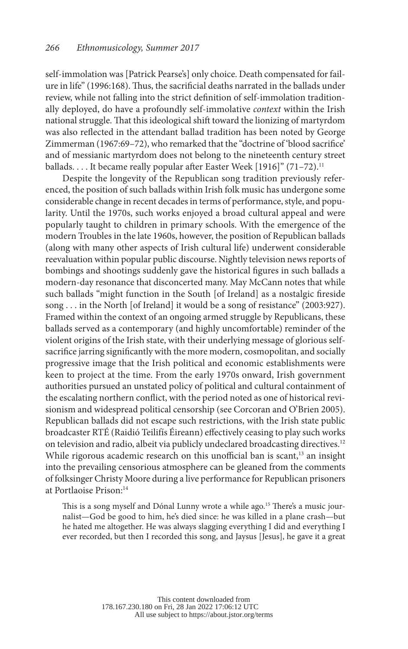self-immolation was [Patrick Pearse's] only choice. Death compensated for failure in life" (1996:168). Thus, the sacrificial deaths narrated in the ballads under review, while not falling into the strict definition of self- immolation traditionally deployed, do have a profoundly self- immolative *context* within the Irish national struggle. That this ideological shift toward the lionizing of martyrdom was also reflected in the attendant ballad tradition has been noted by George Zimmerman (1967:69–72), who remarked that the "doctrine of 'blood sacrifice' and of messianic martyrdom does not belong to the nineteenth century street ballads. . . . It became really popular after Easter Week [1916]" (71-72).<sup>11</sup>

Despite the longevity of the Republican song tradition previously referenced, the position of such ballads within Irish folk music has undergone some considerable change in recent decades in terms of performance, style, and popularity. Until the 1970s, such works enjoyed a broad cultural appeal and were popularly taught to children in primary schools. With the emergence of the modern Troubles in the late 1960s, however, the position of Republican ballads (along with many other aspects of Irish cultural life) underwent considerable reevaluation within popular public discourse. Nightly television news reports of bombings and shootings suddenly gave the historical figures in such ballads a modern- day resonance that disconcerted many. May McCann notes that while such ballads "might function in the South [of Ireland] as a nostalgic fireside song . . . in the North [of Ireland] it would be a song of resistance" (2003:927). Framed within the context of an ongoing armed struggle by Republicans, these ballads served as a contemporary (and highly uncomfortable) reminder of the violent origins of the Irish state, with their underlying message of glorious selfsacrifice jarring significantly with the more modern, cosmopolitan, and socially progressive image that the Irish political and economic establishments were keen to project at the time. From the early 1970s onward, Irish government authorities pursued an unstated policy of political and cultural containment of the escalating northern conflict, with the period noted as one of historical revisionism and widespread political censorship (see Corcoran and O'Brien 2005). Republican ballads did not escape such restrictions, with the Irish state public broadcaster RTÉ (Raidió Teilifís Éireann) effectively ceasing to play such works on television and radio, albeit via publicly undeclared broadcasting directives.12 While rigorous academic research on this unofficial ban is scant,<sup>13</sup> an insight into the prevailing censorious atmosphere can be gleaned from the comments of folksinger Christy Moore during a live performance for Republican prisoners at Portlaoise Prison:<sup>14</sup>

This is a song myself and Dónal Lunny wrote a while ago.<sup>15</sup> There's a music journalist—God be good to him, he's died since: he was killed in a plane crash—but he hated me altogether. He was always slagging everything I did and everything I ever recorded, but then I recorded this song, and Jaysus [Jesus], he gave it a great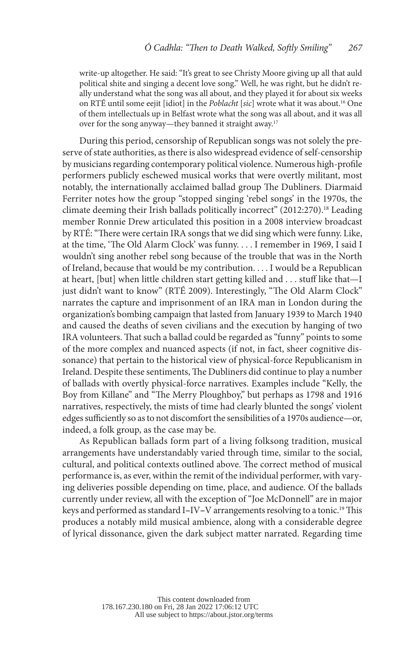write- up altogether. He said: "It's great to see Christy Moore giving up all that auld political shite and singing a decent love song." Well, he was right, but he didn't really understand what the song was all about, and they played it for about six weeks on RTÉ until some eejit [idiot] in the *Poblacht* [*sic*] wrote what it was about.16 One of them intellectuals up in Belfast wrote what the song was all about, and it was all over for the song anyway—they banned it straight away.17

 During this period, censorship of Republican songs was not solely the preserve of state authorities, as there is also widespread evidence of self- censorship by musicians regarding contemporary political violence. Numerous high- profile performers publicly eschewed musical works that were overtly militant, most notably, the internationally acclaimed ballad group The Dubliners. Diarmaid Ferriter notes how the group "stopped singing 'rebel songs' in the 1970s, the climate deeming their Irish ballads politically incorrect" (2012:270).18 Leading member Ronnie Drew articulated this position in a 2008 interview broadcast by RTÉ: "There were certain IRA songs that we did sing which were funny. Like, at the time, 'The Old Alarm Clock' was funny. . . . I remember in 1969, I said I wouldn't sing another rebel song because of the trouble that was in the North of Ireland, because that would be my contribution. . . . I would be a Republican at heart, [but] when little children start getting killed and . . . stuff like that—I just didn't want to know" (RTÉ 2009). Interestingly, "The Old Alarm Clock" narrates the capture and imprisonment of an IRA man in London during the organization's bombing campaign that lasted from January 1939 to March 1940 and caused the deaths of seven civilians and the execution by hanging of two IRA volunteers. That such a ballad could be regarded as "funny" points to some of the more complex and nuanced aspects (if not, in fact, sheer cognitive dissonance) that pertain to the historical view of physical- force Republicanism in Ireland. Despite these sentiments, The Dubliners did continue to play a number of ballads with overtly physical- force narratives. Examples include "Kelly, the Boy from Killane" and "The Merry Ploughboy," but perhaps as 1798 and 1916 narratives, respectively, the mists of time had clearly blunted the songs' violent edges sufficiently so as to not discomfort the sensibilities of a 1970s audience—or, indeed, a folk group, as the case may be.

 As Republican ballads form part of a living folksong tradition, musical arrangements have understandably varied through time, similar to the social, cultural, and political contexts outlined above. The correct method of musical performance is, as ever, within the remit of the individual performer, with varying deliveries possible depending on time, place, and audience. Of the ballads currently under review, all with the exception of "Joe McDonnell" are in major keys and performed as standard I**–**IV**–**V arrangements resolving to a tonic.19 This produces a notably mild musical ambience, along with a considerable degree of lyrical dissonance, given the dark subject matter narrated. Regarding time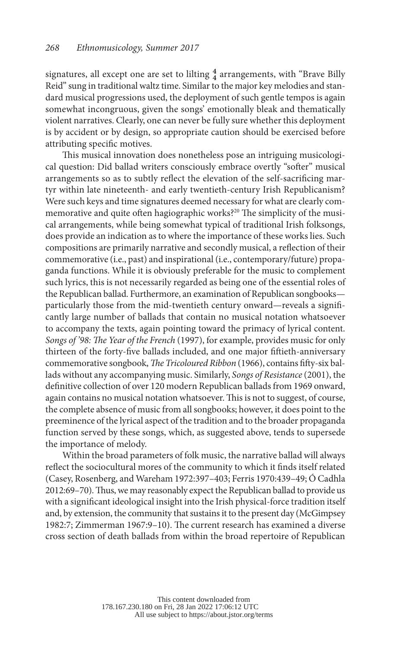signatures, all except one are set to lilting **<sup>4</sup> <sup>4</sup>** arrangements, with "Brave Billy Reid" sung in traditional waltz time. Similar to the major key melodies and standard musical progressions used, the deployment of such gentle tempos is again somewhat incongruous, given the songs' emotionally bleak and thematically violent narratives. Clearly, one can never be fully sure whether this deployment is by accident or by design, so appropriate caution should be exercised before attributing specific motives.

 This musical innovation does nonetheless pose an intriguing musicological question: Did ballad writers consciously embrace overtly "softer" musical arrangements so as to subtly reflect the elevation of the self- sacrificing martyr within late nineteenth- and early twentieth- century Irish Republicanism? Were such keys and time signatures deemed necessary for what are clearly commemorative and quite often hagiographic works?<sup>20</sup> The simplicity of the musical arrangements, while being somewhat typical of traditional Irish folksongs, does provide an indication as to where the importance of these works lies. Such compositions are primarily narrative and secondly musical, a reflection of their commemorative (i.e., past) and inspirational (i.e., contemporary/future) propaganda functions. While it is obviously preferable for the music to complement such lyrics, this is not necessarily regarded as being one of the essential roles of the Republican ballad. Furthermore, an examination of Republican songbooks particularly those from the mid- twentieth century onward—reveals a significantly large number of ballads that contain no musical notation whatsoever to accompany the texts, again pointing toward the primacy of lyrical content. *Songs of '98: The Year of the French* (1997), for example, provides music for only thirteen of the forty-five ballads included, and one major fiftieth-anniversary commemorative songbook, *The Tricoloured Ribbon* (1966), contains fifty-six ballads without any accompanying music. Similarly, *Songs of Resistance* (2001), the definitive collection of over 120 modern Republican ballads from 1969 onward, again contains no musical notation whatsoever. This is not to suggest, of course, the complete absence of music from all songbooks; however, it does point to the preeminence of the lyrical aspect of the tradition and to the broader propaganda function served by these songs, which, as suggested above, tends to supersede the importance of melody.

 Within the broad parameters of folk music, the narrative ballad will always reflect the sociocultural mores of the community to which it finds itself related (Casey, Rosenberg, and Wareham 1972:397–403; Ferris 1970:439–49; Ó Cadhla 2012:69–70). Thus, we may reasonably expect the Republican ballad to provide us with a significant ideological insight into the Irish physical- force tradition itself and, by extension, the community that sustains it to the present day (McGimpsey 1982:7; Zimmerman 1967:9–10). The current research has examined a diverse cross section of death ballads from within the broad repertoire of Republican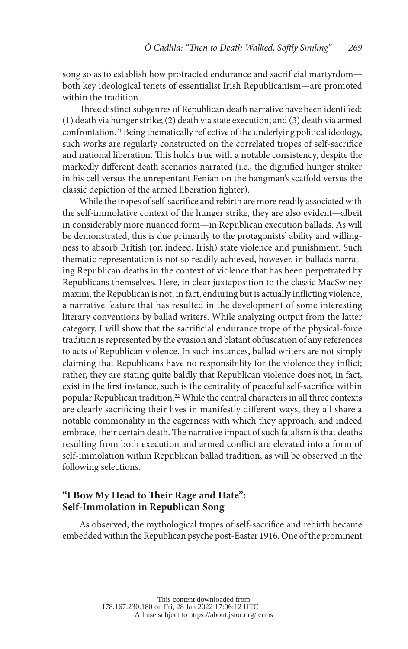song so as to establish how protracted endurance and sacrificial martyrdom both key ideological tenets of essentialist Irish Republicanism—are promoted within the tradition.

 Three distinct subgenres of Republican death narrative have been identified: (1) death via hunger strike; (2) death via state execution; and (3) death via armed confrontation.21 Being thematically reflective of the underlying political ideology, such works are regularly constructed on the correlated tropes of self- sacrifice and national liberation. This holds true with a notable consistency, despite the markedly different death scenarios narrated (i.e., the dignified hunger striker in his cell versus the unrepentant Fenian on the hangman's scaffold versus the classic depiction of the armed liberation fighter).

 While the tropes of self- sacrifice and rebirth are more readily associated with the self- immolative context of the hunger strike, they are also evident—albeit in considerably more nuanced form—in Republican execution ballads. As will be demonstrated, this is due primarily to the protagonists' ability and willingness to absorb British (or, indeed, Irish) state violence and punishment. Such thematic representation is not so readily achieved, however, in ballads narrating Republican deaths in the context of violence that has been perpetrated by Republicans themselves. Here, in clear juxtaposition to the classic MacSwiney maxim, the Republican is not, in fact, enduring but is actually inflicting violence, a narrative feature that has resulted in the development of some interesting literary conventions by ballad writers. While analyzing output from the latter category, I will show that the sacrificial endurance trope of the physical- force tradition is represented by the evasion and blatant obfuscation of any references to acts of Republican violence. In such instances, ballad writers are not simply claiming that Republicans have no responsibility for the violence they inflict; rather, they are stating quite baldly that Republican violence does not, in fact, exist in the first instance, such is the centrality of peaceful self- sacrifice within popular Republican tradition.22 While the central characters in all three contexts are clearly sacrificing their lives in manifestly different ways, they all share a notable commonality in the eagerness with which they approach, and indeed embrace, their certain death. The narrative impact of such fatalism is that deaths resulting from both execution and armed conflict are elevated into a form of self-immolation within Republican ballad tradition, as will be observed in the following selections.

# **"I Bow My Head to Their Rage and Hate": Self- Immolation in Republican Song**

 As observed, the mythological tropes of self- sacrifice and rebirth became embedded within the Republican psyche post- Easter 1916. One of the prominent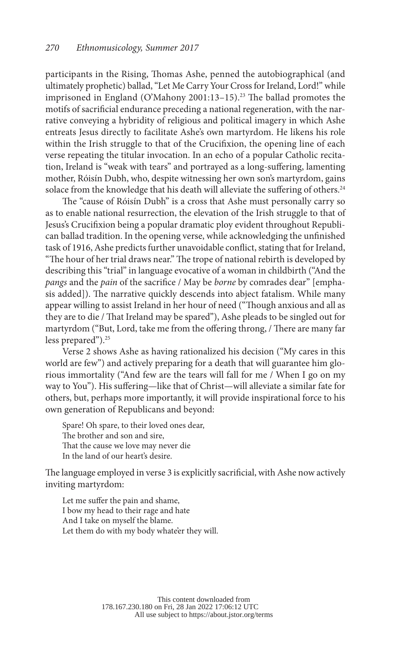participants in the Rising, Thomas Ashe, penned the autobiographical (and ultimately prophetic) ballad, "Let Me Carry Your Cross for Ireland, Lord!" while imprisoned in England (O'Mahony 2001:13-15).<sup>23</sup> The ballad promotes the motifs of sacrificial endurance preceding a national regeneration, with the narrative conveying a hybridity of religious and political imagery in which Ashe entreats Jesus directly to facilitate Ashe's own martyrdom. He likens his role within the Irish struggle to that of the Crucifixion, the opening line of each verse repeating the titular invocation. In an echo of a popular Catholic recitation, Ireland is "weak with tears" and portrayed as a long- suffering, lamenting mother, Róisín Dubh, who, despite witnessing her own son's martyrdom, gains solace from the knowledge that his death will alleviate the suffering of others.<sup>24</sup>

 The "cause of Róisín Dubh" is a cross that Ashe must personally carry so as to enable national resurrection, the elevation of the Irish struggle to that of Jesus's Crucifixion being a popular dramatic ploy evident throughout Republican ballad tradition. In the opening verse, while acknowledging the unfinished task of 1916, Ashe predicts further unavoidable conflict, stating that for Ireland, "The hour of her trial draws near." The trope of national rebirth is developed by describing this "trial" in language evocative of a woman in childbirth ("And the *pangs* and the *pain* of the sacrifice / May be *borne* by comrades dear" [emphasis added]). The narrative quickly descends into abject fatalism. While many appear willing to assist Ireland in her hour of need ("Though anxious and all as they are to die / That Ireland may be spared"), Ashe pleads to be singled out for martyrdom ("But, Lord, take me from the offering throng, / There are many far less prepared").<sup>25</sup>

 Verse 2 shows Ashe as having rationalized his decision ("My cares in this world are few") and actively preparing for a death that will guarantee him glorious immortality ("And few are the tears will fall for me / When I go on my way to You"). His suffering—like that of Christ—will alleviate a similar fate for others, but, perhaps more importantly, it will provide inspirational force to his own generation of Republicans and beyond:

Spare! Oh spare, to their loved ones dear, The brother and son and sire, That the cause we love may never die In the land of our heart's desire.

The language employed in verse 3 is explicitly sacrificial, with Ashe now actively inviting martyrdom:

Let me suffer the pain and shame, I bow my head to their rage and hate And I take on myself the blame. Let them do with my body whate'er they will.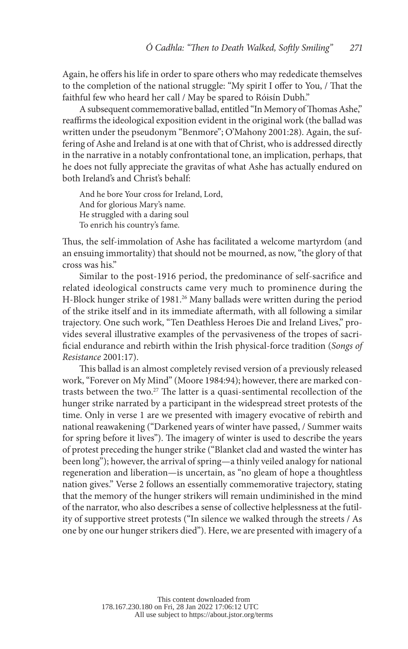Again, he offers his life in order to spare others who may rededicate themselves to the completion of the national struggle: "My spirit I offer to You, / That the faithful few who heard her call / May be spared to Róisín Dubh."

 A subsequent commemorative ballad, entitled "In Memory of Thomas Ashe," reaffirms the ideological exposition evident in the original work (the ballad was written under the pseudonym "Benmore"; O'Mahony 2001:28). Again, the suffering of Ashe and Ireland is at one with that of Christ, who is addressed directly in the narrative in a notably confrontational tone, an implication, perhaps, that he does not fully appreciate the gravitas of what Ashe has actually endured on both Ireland's and Christ's behalf:

And he bore Your cross for Ireland, Lord, And for glorious Mary's name. He struggled with a daring soul To enrich his country's fame.

Thus, the self-immolation of Ashe has facilitated a welcome martyrdom (and an ensuing immortality) that should not be mourned, as now, "the glory of that cross was his."

Similar to the post-1916 period, the predominance of self-sacrifice and related ideological constructs came very much to prominence during the H-Block hunger strike of 1981.<sup>26</sup> Many ballads were written during the period of the strike itself and in its immediate aftermath, with all following a similar trajectory. One such work, "Ten Deathless Heroes Die and Ireland Lives," provides several illustrative examples of the pervasiveness of the tropes of sacrificial endurance and rebirth within the Irish physical- force tradition (*Songs of Resistance* 2001:17).

 This ballad is an almost completely revised version of a previously released work, "Forever on My Mind" (Moore 1984:94); however, there are marked contrasts between the two.<sup>27</sup> The latter is a quasi-sentimental recollection of the hunger strike narrated by a participant in the widespread street protests of the time. Only in verse 1 are we presented with imagery evocative of rebirth and national reawakening ("Darkened years of winter have passed, / Summer waits for spring before it lives"). The imagery of winter is used to describe the years of protest preceding the hunger strike ("Blanket clad and wasted the winter has been long"); however, the arrival of spring—a thinly veiled analogy for national regeneration and liberation—is uncertain, as "no gleam of hope a thoughtless nation gives." Verse 2 follows an essentially commemorative trajectory, stating that the memory of the hunger strikers will remain undiminished in the mind of the narrator, who also describes a sense of collective helplessness at the futility of supportive street protests ("In silence we walked through the streets / As one by one our hunger strikers died"). Here, we are presented with imagery of a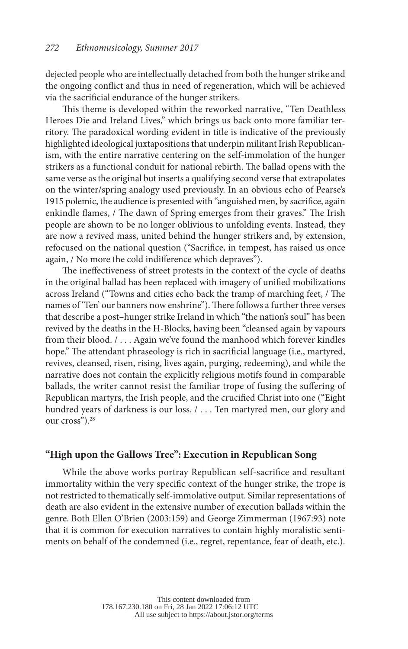dejected people who are intellectually detached from both the hunger strike and the ongoing conflict and thus in need of regeneration, which will be achieved via the sacrificial endurance of the hunger strikers.

 This theme is developed within the reworked narrative, "Ten Deathless Heroes Die and Ireland Lives," which brings us back onto more familiar territory. The paradoxical wording evident in title is indicative of the previously highlighted ideological juxtapositions that underpin militant Irish Republicanism, with the entire narrative centering on the self-immolation of the hunger strikers as a functional conduit for national rebirth. The ballad opens with the same verse as the original but inserts a qualifying second verse that extrapolates on the winter/spring analogy used previously. In an obvious echo of Pearse's 1915 polemic, the audience is presented with "anguished men, by sacrifice, again enkindle flames, / The dawn of Spring emerges from their graves." The Irish people are shown to be no longer oblivious to unfolding events. Instead, they are now a revived mass, united behind the hunger strikers and, by extension, refocused on the national question ("Sacrifice, in tempest, has raised us once again, / No more the cold indifference which depraves").

 The ineffectiveness of street protests in the context of the cycle of deaths in the original ballad has been replaced with imagery of unified mobilizations across Ireland ("Towns and cities echo back the tramp of marching feet, / The names of 'Ten' our banners now enshrine"). There follows a further three verses that describe a post**–**hunger strike Ireland in which "the nation's soul" has been revived by the deaths in the H- Blocks, having been "cleansed again by vapours from their blood. / . . . Again we've found the manhood which forever kindles hope." The attendant phraseology is rich in sacrificial language (i.e., martyred, revives, cleansed, risen, rising, lives again, purging, redeeming), and while the narrative does not contain the explicitly religious motifs found in comparable ballads, the writer cannot resist the familiar trope of fusing the suffering of Republican martyrs, the Irish people, and the crucified Christ into one ("Eight hundred years of darkness is our loss. / . . . Ten martyred men, our glory and our cross").28

#### **"High upon the Gallows Tree": Execution in Republican Song**

 While the above works portray Republican self- sacrifice and resultant immortality within the very specific context of the hunger strike, the trope is not restricted to thematically self- immolative output. Similar representations of death are also evident in the extensive number of execution ballads within the genre. Both Ellen O'Brien (2003:159) and George Zimmerman (1967:93) note that it is common for execution narratives to contain highly moralistic sentiments on behalf of the condemned (i.e., regret, repentance, fear of death, etc.).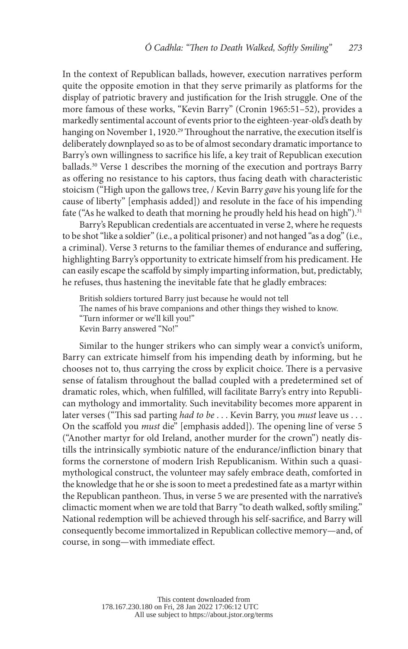In the context of Republican ballads, however, execution narratives perform quite the opposite emotion in that they serve primarily as platforms for the display of patriotic bravery and justification for the Irish struggle. One of the more famous of these works, "Kevin Barry" (Cronin 1965:51–52), provides a markedly sentimental account of events prior to the eighteen- year- old's death by hanging on November 1, 1920.<sup>29</sup> Throughout the narrative, the execution itself is deliberately downplayed so as to be of almost secondary dramatic importance to Barry's own willingness to sacrifice his life, a key trait of Republican execution ballads.30 Verse 1 describes the morning of the execution and portrays Barry as offering no resistance to his captors, thus facing death with characteristic stoicism ("High upon the gallows tree, / Kevin Barry *gave* his young life for the cause of liberty" [emphasis added]) and resolute in the face of his impending fate ("As he walked to death that morning he proudly held his head on high").<sup>31</sup>

 Barry's Republican credentials are accentuated in verse 2, where he requests to be shot "like a soldier" (i.e., a political prisoner) and not hanged "as a dog" (i.e., a criminal). Verse 3 returns to the familiar themes of endurance and suffering, highlighting Barry's opportunity to extricate himself from his predicament. He can easily escape the scaffold by simply imparting information, but, predictably, he refuses, thus hastening the inevitable fate that he gladly embraces:

British soldiers tortured Barry just because he would not tell The names of his brave companions and other things they wished to know. "Turn informer or we'll kill you!" Kevin Barry answered "No!"

 Similar to the hunger strikers who can simply wear a convict's uniform, Barry can extricate himself from his impending death by informing, but he chooses not to, thus carrying the cross by explicit choice. There is a pervasive sense of fatalism throughout the ballad coupled with a predetermined set of dramatic roles, which, when fulfilled, will facilitate Barry's entry into Republican mythology and immortality. Such inevitability becomes more apparent in later verses ("This sad parting *had to be* . . . Kevin Barry, you *must* leave us . . . On the scaffold you *must* die" [emphasis added]). The opening line of verse 5 ("Another martyr for old Ireland, another murder for the crown") neatly distills the intrinsically symbiotic nature of the endurance/infliction binary that forms the cornerstone of modern Irish Republicanism. Within such a quasimythological construct, the volunteer may safely embrace death, comforted in the knowledge that he or she is soon to meet a predestined fate as a martyr within the Republican pantheon. Thus, in verse 5 we are presented with the narrative's climactic moment when we are told that Barry "to death walked, softly smiling." National redemption will be achieved through his self- sacrifice, and Barry will consequently become immortalized in Republican collective memory—and, of course, in song—with immediate effect.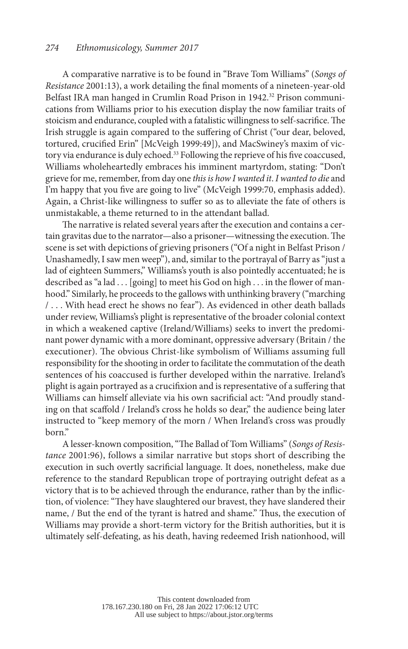A comparative narrative is to be found in "Brave Tom Williams" (*Songs of Resistance* 2001:13), a work detailing the final moments of a nineteen-year-old Belfast IRA man hanged in Crumlin Road Prison in 1942.<sup>32</sup> Prison communications from Williams prior to his execution display the now familiar traits of stoicism and endurance, coupled with a fatalistic willingness to self- sacrifice. The Irish struggle is again compared to the suffering of Christ ("our dear, beloved, tortured, crucified Erin" [McVeigh 1999:49]), and MacSwiney's maxim of victory via endurance is duly echoed.<sup>33</sup> Following the reprieve of his five coaccused, Williams wholeheartedly embraces his imminent martyrdom, stating: "Don't grieve for me, remember, from day one *this is how I wanted it*. *I wanted to die* and I'm happy that you five are going to live" (McVeigh 1999:70, emphasis added). Again, a Christ-like willingness to suffer so as to alleviate the fate of others is unmistakable, a theme returned to in the attendant ballad.

 The narrative is related several years after the execution and contains a certain gravitas due to the narrator—also a prisoner—witnessing the execution. The scene is set with depictions of grieving prisoners ("Of a night in Belfast Prison / Unashamedly, I saw men weep"), and, similar to the portrayal of Barry as "just a lad of eighteen Summers," Williams's youth is also pointedly accentuated; he is described as "a lad . . . [going] to meet his God on high . . . in the flower of manhood." Similarly, he proceeds to the gallows with unthinking bravery ("marching / . . . With head erect he shows no fear"). As evidenced in other death ballads under review, Williams's plight is representative of the broader colonial context in which a weakened captive (Ireland/Williams) seeks to invert the predominant power dynamic with a more dominant, oppressive adversary (Britain / the executioner). The obvious Christ-like symbolism of Williams assuming full responsibility for the shooting in order to facilitate the commutation of the death sentences of his coaccused is further developed within the narrative. Ireland's plight is again portrayed as a crucifixion and is representative of a suffering that Williams can himself alleviate via his own sacrificial act: "And proudly standing on that scaffold / Ireland's cross he holds so dear," the audience being later instructed to "keep memory of the morn / When Ireland's cross was proudly born."

 A lesser- known composition, "The Ballad of Tom Williams" (*Songs of Resistance* 2001:96), follows a similar narrative but stops short of describing the execution in such overtly sacrificial language. It does, nonetheless, make due reference to the standard Republican trope of portraying outright defeat as a victory that is to be achieved through the endurance, rather than by the infliction, of violence: "They have slaughtered our bravest, they have slandered their name, / But the end of the tyrant is hatred and shame." Thus, the execution of Williams may provide a short- term victory for the British authorities, but it is ultimately self- defeating, as his death, having redeemed Irish nationhood, will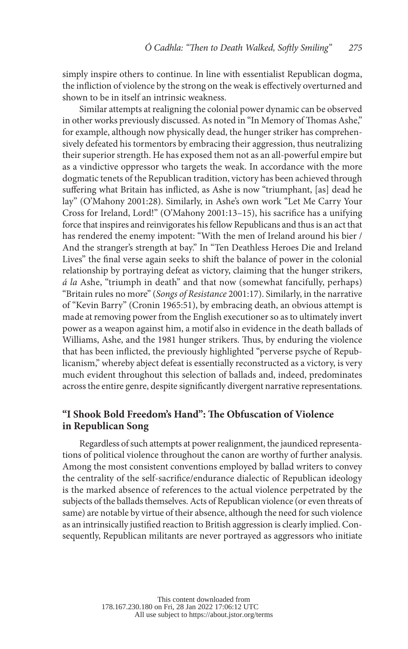simply inspire others to continue. In line with essentialist Republican dogma, the infliction of violence by the strong on the weak is effectively overturned and shown to be in itself an intrinsic weakness.

 Similar attempts at realigning the colonial power dynamic can be observed in other works previously discussed. As noted in "In Memory of Thomas Ashe," for example, although now physically dead, the hunger striker has comprehensively defeated his tormentors by embracing their aggression, thus neutralizing their superior strength. He has exposed them not as an all- powerful empire but as a vindictive oppressor who targets the weak. In accordance with the more dogmatic tenets of the Republican tradition, victory has been achieved through suffering what Britain has inflicted, as Ashe is now "triumphant, [as] dead he lay" (O'Mahony 2001:28). Similarly, in Ashe's own work "Let Me Carry Your Cross for Ireland, Lord!" (O'Mahony 2001:13–15), his sacrifice has a unifying force that inspires and reinvigorates his fellow Republicans and thus is an act that has rendered the enemy impotent: "With the men of Ireland around his bier / And the stranger's strength at bay." In "Ten Deathless Heroes Die and Ireland Lives" the final verse again seeks to shift the balance of power in the colonial relationship by portraying defeat as victory, claiming that the hunger strikers, *á la* Ashe, "triumph in death" and that now (somewhat fancifully, perhaps) "Britain rules no more" (*Songs of Resistance* 2001:17). Similarly, in the narrative of "Kevin Barry" (Cronin 1965:51), by embracing death, an obvious attempt is made at removing power from the English executioner so as to ultimately invert power as a weapon against him, a motif also in evidence in the death ballads of Williams, Ashe, and the 1981 hunger strikers. Thus, by enduring the violence that has been inflicted, the previously highlighted "perverse psyche of Republicanism," whereby abject defeat is essentially reconstructed as a victory, is very much evident throughout this selection of ballads and, indeed, predominates across the entire genre, despite significantly divergent narrative representations.

## **"I Shook Bold Freedom's Hand": The Obfuscation of Violence in Republican Song**

 Regardless of such attempts at power realignment, the jaundiced representations of political violence throughout the canon are worthy of further analysis. Among the most consistent conventions employed by ballad writers to convey the centrality of the self-sacrifice/endurance dialectic of Republican ideology is the marked absence of references to the actual violence perpetrated by the subjects of the ballads themselves. Acts of Republican violence (or even threats of same) are notable by virtue of their absence, although the need for such violence as an intrinsically justified reaction to British aggression is clearly implied. Consequently, Republican militants are never portrayed as aggressors who initiate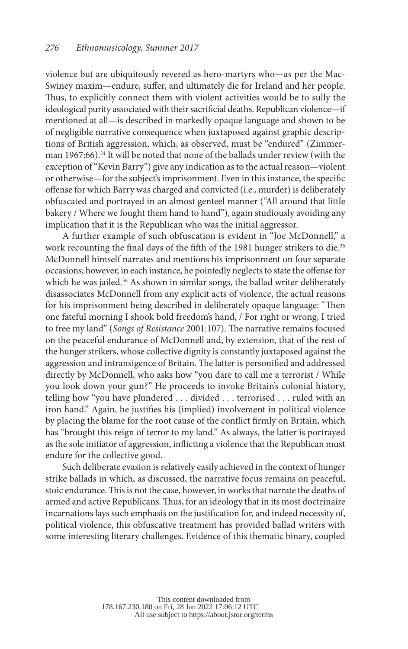violence but are ubiquitously revered as hero- martyrs who—as per the Mac-Swiney maxim—endure, suffer, and ultimately die for Ireland and her people. Thus, to explicitly connect them with violent activities would be to sully the ideological purity associated with their sacrificial deaths. Republican violence—if mentioned at all—is described in markedly opaque language and shown to be of negligible narrative consequence when juxtaposed against graphic descriptions of British aggression, which, as observed, must be "endured" (Zimmerman 1967:66).34 It will be noted that none of the ballads under review (with the exception of "Kevin Barry") give any indication as to the actual reason—violent or otherwise—for the subject's imprisonment. Even in this instance, the specific offense for which Barry was charged and convicted (i.e., murder) is deliberately obfuscated and portrayed in an almost genteel manner ("All around that little bakery / Where we fought them hand to hand"), again studiously avoiding any implication that it is the Republican who was the initial aggressor.

 A further example of such obfuscation is evident in "Joe McDonnell," a work recounting the final days of the fifth of the 1981 hunger strikers to die.<sup>35</sup> McDonnell himself narrates and mentions his imprisonment on four separate occasions; however, in each instance, he pointedly neglects to state the offense for which he was jailed.<sup>36</sup> As shown in similar songs, the ballad writer deliberately disassociates McDonnell from any explicit acts of violence, the actual reasons for his imprisonment being described in deliberately opaque language: "Then one fateful morning I shook bold freedom's hand, / For right or wrong, I tried to free my land" (*Songs of Resistance* 2001:107). The narrative remains focused on the peaceful endurance of McDonnell and, by extension, that of the rest of the hunger strikers, whose collective dignity is constantly juxtaposed against the aggression and intransigence of Britain. The latter is personified and addressed directly by McDonnell, who asks how "you dare to call me a terrorist / While you look down your gun?" He proceeds to invoke Britain's colonial history, telling how "you have plundered . . . divided . . . terrorised . . . ruled with an iron hand." Again, he justifies his (implied) involvement in political violence by placing the blame for the root cause of the conflict firmly on Britain, which has "brought this reign of terror to my land." As always, the latter is portrayed as the sole initiator of aggression, inflicting a violence that the Republican must endure for the collective good.

 Such deliberate evasion is relatively easily achieved in the context of hunger strike ballads in which, as discussed, the narrative focus remains on peaceful, stoic endurance. This is not the case, however, in works that narrate the deaths of armed and active Republicans. Thus, for an ideology that in its most doctrinaire incarnations lays such emphasis on the justification for, and indeed necessity of, political violence, this obfuscative treatment has provided ballad writers with some interesting literary challenges. Evidence of this thematic binary, coupled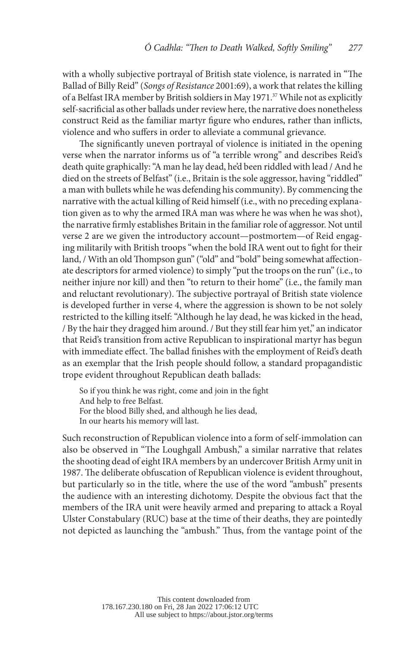with a wholly subjective portrayal of British state violence, is narrated in "The Ballad of Billy Reid" (*Songs of Resistance* 2001:69), a work that relates the killing of a Belfast IRA member by British soldiers in May 1971.<sup>37</sup> While not as explicitly self- sacrificial as other ballads under review here, the narrative does nonetheless construct Reid as the familiar martyr figure who endures, rather than inflicts, violence and who suffers in order to alleviate a communal grievance.

 The significantly uneven portrayal of violence is initiated in the opening verse when the narrator informs us of "a terrible wrong" and describes Reid's death quite graphically: "A man he lay dead, he'd been riddled with lead / And he died on the streets of Belfast" (i.e., Britain is the sole aggressor, having "riddled" a man with bullets while he was defending his community). By commencing the narrative with the actual killing of Reid himself (i.e., with no preceding explanation given as to why the armed IRA man was where he was when he was shot), the narrative firmly establishes Britain in the familiar role of aggressor. Not until verse 2 are we given the introductory account—postmortem—of Reid engaging militarily with British troops "when the bold IRA went out to fight for their land, / With an old Thompson gun" ("old" and "bold" being somewhat affectionate descriptors for armed violence) to simply "put the troops on the run" (i.e., to neither injure nor kill) and then "to return to their home" (i.e., the family man and reluctant revolutionary). The subjective portrayal of British state violence is developed further in verse 4, where the aggression is shown to be not solely restricted to the killing itself: "Although he lay dead, he was kicked in the head, / By the hair they dragged him around. / But they still fear him yet," an indicator that Reid's transition from active Republican to inspirational martyr has begun with immediate effect. The ballad finishes with the employment of Reid's death as an exemplar that the Irish people should follow, a standard propagandistic trope evident throughout Republican death ballads:

So if you think he was right, come and join in the fight And help to free Belfast. For the blood Billy shed, and although he lies dead, In our hearts his memory will last.

Such reconstruction of Republican violence into a form of self- immolation can also be observed in "The Loughgall Ambush," a similar narrative that relates the shooting dead of eight IRA members by an undercover British Army unit in 1987. The deliberate obfuscation of Republican violence is evident throughout, but particularly so in the title, where the use of the word "ambush" presents the audience with an interesting dichotomy. Despite the obvious fact that the members of the IRA unit were heavily armed and preparing to attack a Royal Ulster Constabulary (RUC) base at the time of their deaths, they are pointedly not depicted as launching the "ambush." Thus, from the vantage point of the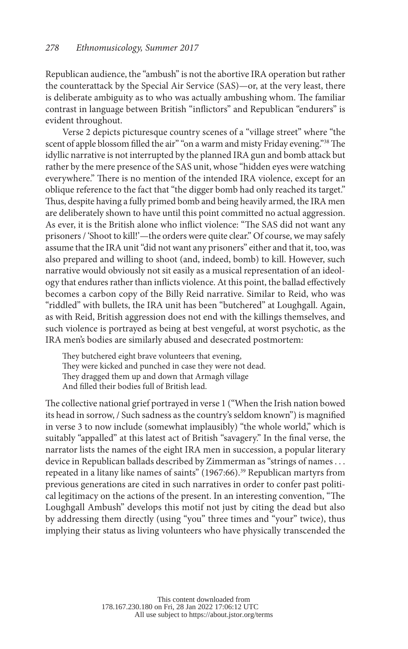Republican audience, the "ambush" is not the abortive IRA operation but rather the counterattack by the Special Air Service (SAS)—or, at the very least, there is deliberate ambiguity as to who was actually ambushing whom. The familiar contrast in language between British "inflictors" and Republican "endurers" is evident throughout.

 Verse 2 depicts picturesque country scenes of a "village street" where "the scent of apple blossom filled the air" "on a warm and misty Friday evening."38 The idyllic narrative is not interrupted by the planned IRA gun and bomb attack but rather by the mere presence of the SAS unit, whose "hidden eyes were watching everywhere." There is no mention of the intended IRA violence, except for an oblique reference to the fact that "the digger bomb had only reached its target." Thus, despite having a fully primed bomb and being heavily armed, the IRA men are deliberately shown to have until this point committed no actual aggression. As ever, it is the British alone who inflict violence: "The SAS did not want any prisoners / 'Shoot to kill!'—the orders were quite clear." Of course, we may safely assume that the IRA unit "did not want any prisoners" either and that it, too, was also prepared and willing to shoot (and, indeed, bomb) to kill. However, such narrative would obviously not sit easily as a musical representation of an ideology that endures rather than inflicts violence. At this point, the ballad effectively becomes a carbon copy of the Billy Reid narrative. Similar to Reid, who was "riddled" with bullets, the IRA unit has been "butchered" at Loughgall. Again, as with Reid, British aggression does not end with the killings themselves, and such violence is portrayed as being at best vengeful, at worst psychotic, as the IRA men's bodies are similarly abused and desecrated postmortem:

They butchered eight brave volunteers that evening, They were kicked and punched in case they were not dead. They dragged them up and down that Armagh village And filled their bodies full of British lead.

The collective national grief portrayed in verse 1 ("When the Irish nation bowed its head in sorrow, / Such sadness as the country's seldom known") is magnified in verse 3 to now include (somewhat implausibly) "the whole world," which is suitably "appalled" at this latest act of British "savagery." In the final verse, the narrator lists the names of the eight IRA men in succession, a popular literary device in Republican ballads described by Zimmerman as "strings of names . . . repeated in a litany like names of saints" (1967:66).<sup>39</sup> Republican martyrs from previous generations are cited in such narratives in order to confer past political legitimacy on the actions of the present. In an interesting convention, "The Loughgall Ambush" develops this motif not just by citing the dead but also by addressing them directly (using "you" three times and "your" twice), thus implying their status as living volunteers who have physically transcended the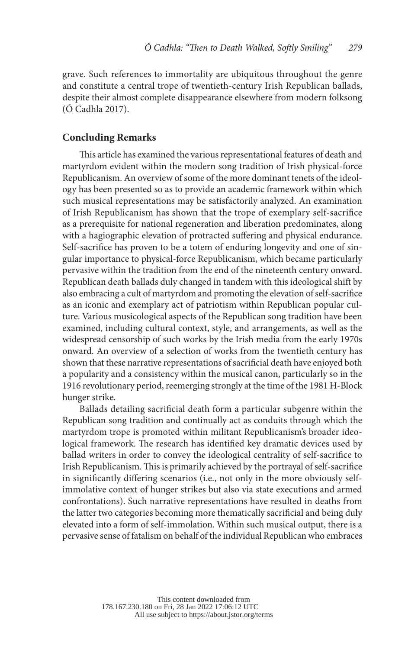grave. Such references to immortality are ubiquitous throughout the genre and constitute a central trope of twentieth- century Irish Republican ballads, despite their almost complete disappearance elsewhere from modern folksong (Ó Cadhla 2017).

### **Concluding Remarks**

 This article has examined the various representational features of death and martyrdom evident within the modern song tradition of Irish physical- force Republicanism. An overview of some of the more dominant tenets of the ideology has been presented so as to provide an academic framework within which such musical representations may be satisfactorily analyzed. An examination of Irish Republicanism has shown that the trope of exemplary self- sacrifice as a prerequisite for national regeneration and liberation predominates, along with a hagiographic elevation of protracted suffering and physical endurance. Self- sacrifice has proven to be a totem of enduring longevity and one of singular importance to physical- force Republicanism, which became particularly pervasive within the tradition from the end of the nineteenth century onward. Republican death ballads duly changed in tandem with this ideological shift by also embracing a cult of martyrdom and promoting the elevation of self- sacrifice as an iconic and exemplary act of patriotism within Republican popular culture. Various musicological aspects of the Republican song tradition have been examined, including cultural context, style, and arrangements, as well as the widespread censorship of such works by the Irish media from the early 1970s onward. An overview of a selection of works from the twentieth century has shown that these narrative representations of sacrificial death have enjoyed both a popularity and a consistency within the musical canon, particularly so in the 1916 revolutionary period, reemerging strongly at the time of the 1981 H- Block hunger strike.

 Ballads detailing sacrificial death form a particular subgenre within the Republican song tradition and continually act as conduits through which the martyrdom trope is promoted within militant Republicanism's broader ideological framework. The research has identified key dramatic devices used by ballad writers in order to convey the ideological centrality of self-sacrifice to Irish Republicanism. This is primarily achieved by the portrayal of self- sacrifice in significantly differing scenarios (i.e., not only in the more obviously selfimmolative context of hunger strikes but also via state executions and armed confrontations). Such narrative representations have resulted in deaths from the latter two categories becoming more thematically sacrificial and being duly elevated into a form of self-immolation. Within such musical output, there is a pervasive sense of fatalism on behalf of the individual Republican who embraces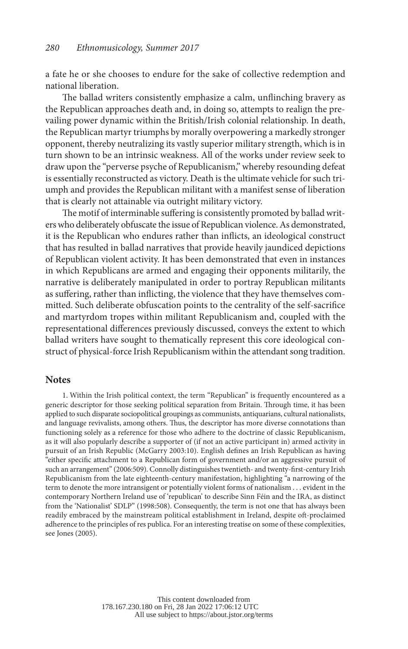a fate he or she chooses to endure for the sake of collective redemption and national liberation.

 The ballad writers consistently emphasize a calm, unflinching bravery as the Republican approaches death and, in doing so, attempts to realign the prevailing power dynamic within the British/Irish colonial relationship. In death, the Republican martyr triumphs by morally overpowering a markedly stronger opponent, thereby neutralizing its vastly superior military strength, which is in turn shown to be an intrinsic weakness. All of the works under review seek to draw upon the "perverse psyche of Republicanism," whereby resounding defeat is essentially reconstructed as victory. Death is the ultimate vehicle for such triumph and provides the Republican militant with a manifest sense of liberation that is clearly not attainable via outright military victory.

 The motif of interminable suffering is consistently promoted by ballad writers who deliberately obfuscate the issue of Republican violence. As demonstrated, it is the Republican who endures rather than inflicts, an ideological construct that has resulted in ballad narratives that provide heavily jaundiced depictions of Republican violent activity. It has been demonstrated that even in instances in which Republicans are armed and engaging their opponents militarily, the narrative is deliberately manipulated in order to portray Republican militants as suffering, rather than inflicting, the violence that they have themselves committed. Such deliberate obfuscation points to the centrality of the self- sacrifice and martyrdom tropes within militant Republicanism and, coupled with the representational differences previously discussed, conveys the extent to which ballad writers have sought to thematically represent this core ideological construct of physical- force Irish Republicanism within the attendant song tradition.

#### **Notes**

 1. Within the Irish political context, the term "Republican" is frequently encountered as a generic descriptor for those seeking political separation from Britain. Through time, it has been applied to such disparate sociopolitical groupings as communists, antiquarians, cultural nationalists, and language revivalists, among others. Thus, the descriptor has more diverse connotations than functioning solely as a reference for those who adhere to the doctrine of classic Republicanism, as it will also popularly describe a supporter of (if not an active participant in) armed activity in pursuit of an Irish Republic (McGarry 2003:10). English defines an Irish Republican as having "either specific attachment to a Republican form of government and/or an aggressive pursuit of such an arrangement" (2006:509). Connolly distinguishes twentieth- and twenty- first- century Irish Republicanism from the late eighteenth- century manifestation, highlighting "a narrowing of the term to denote the more intransigent or potentially violent forms of nationalism . . . evident in the contemporary Northern Ireland use of 'republican' to describe Sinn Féin and the IRA, as distinct from the 'Nationalist' SDLP" (1998:508). Consequently, the term is not one that has always been readily embraced by the mainstream political establishment in Ireland, despite oft- proclaimed adherence to the principles of res publica. For an interesting treatise on some of these complexities, see Jones (2005).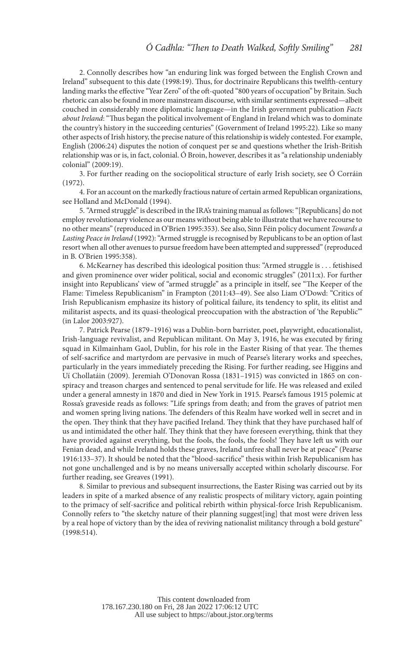2. Connolly describes how "an enduring link was forged between the English Crown and Ireland" subsequent to this date (1998:19). Thus, for doctrinaire Republicans this twelfth- century landing marks the effective "Year Zero" of the oft- quoted "800 years of occupation" by Britain. Such rhetoric can also be found in more mainstream discourse, with similar sentiments expressed—albeit couched in considerably more diplomatic language—in the Irish government publication *Facts about Ireland*: "Thus began the political involvement of England in Ireland which was to dominate the country's history in the succeeding centuries" (Government of Ireland 1995:22). Like so many other aspects of Irish history, the precise nature of this relationship is widely contested. For example, English (2006:24) disputes the notion of conquest per se and questions whether the Irish- British relationship was or is, in fact, colonial. Ó Broin, however, describes it as "a relationship undeniably colonial" (2009:19).

 3. For further reading on the sociopolitical structure of early Irish society, see Ó Corráin (1972).

 4. For an account on the markedly fractious nature of certain armed Republican organizations, see Holland and McDonald (1994).

 5. "Armed struggle" is described in the IRA's training manual as follows: "[Republicans] do not employ revolutionary violence as our means without being able to illustrate that we have recourse to no other means" (reproduced in O'Brien 1995:353). See also, Sinn Féin policy document *Towards a Lasting Peace in Ireland* (1992): "Armed struggle is recognised by Republicans to be an option of last resort when all other avenues to pursue freedom have been attempted and suppressed" (reproduced in B. O'Brien 1995:358).

 6. McKearney has described this ideological position thus: "Armed struggle is . . . fetishised and given prominence over wider political, social and economic struggles" (2011:x). For further insight into Republicans' view of "armed struggle" as a principle in itself, see "The Keeper of the Flame: Timeless Republicanism" in Frampton (2011:43–49). See also Liam O'Dowd: "Critics of Irish Republicanism emphasize its history of political failure, its tendency to split, its elitist and militarist aspects, and its quasi- theological preoccupation with the abstraction of 'the Republic'" (in Lalor 2003:927).

 7. Patrick Pearse (1879–1916) was a Dublin- born barrister, poet, playwright, educationalist, Irish- language revivalist, and Republican militant. On May 3, 1916, he was executed by firing squad in Kilmainham Gaol, Dublin, for his role in the Easter Rising of that year. The themes of self- sacrifice and martyrdom are pervasive in much of Pearse's literary works and speeches, particularly in the years immediately preceding the Rising. For further reading, see Higgins and Uí Chollatáin (2009). Jeremiah O'Donovan Rossa (1831–1915) was convicted in 1865 on conspiracy and treason charges and sentenced to penal servitude for life. He was released and exiled under a general amnesty in 1870 and died in New York in 1915. Pearse's famous 1915 polemic at Rossa's graveside reads as follows: "Life springs from death; and from the graves of patriot men and women spring living nations. The defenders of this Realm have worked well in secret and in the open. They think that they have pacified Ireland. They think that they have purchased half of us and intimidated the other half. They think that they have foreseen everything, think that they have provided against everything, but the fools, the fools, the fools! They have left us with our Fenian dead, and while Ireland holds these graves, Ireland unfree shall never be at peace" (Pearse 1916:133–37). It should be noted that the "blood- sacrifice" thesis within Irish Republicanism has not gone unchallenged and is by no means universally accepted within scholarly discourse. For further reading, see Greaves (1991).

 8. Similar to previous and subsequent insurrections, the Easter Rising was carried out by its leaders in spite of a marked absence of any realistic prospects of military victory, again pointing to the primacy of self- sacrifice and political rebirth within physical- force Irish Republicanism. Connolly refers to "the sketchy nature of their planning suggest[ing] that most were driven less by a real hope of victory than by the idea of reviving nationalist militancy through a bold gesture" (1998:514).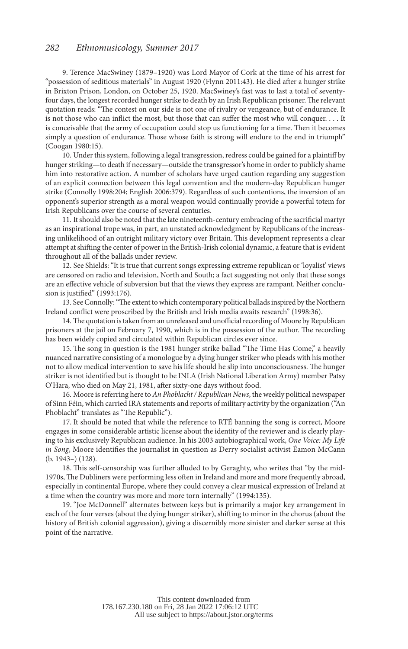#### *282 Ethnomusicology, Summer 2017*

 9. Terence MacSwiney (1879–1920) was Lord Mayor of Cork at the time of his arrest for "possession of seditious materials" in August 1920 (Flynn 2011:43). He died after a hunger strike in Brixton Prison, London, on October 25, 1920. MacSwiney's fast was to last a total of seventyfour days, the longest recorded hunger strike to death by an Irish Republican prisoner. The relevant quotation reads: "The contest on our side is not one of rivalry or vengeance, but of endurance. It is not those who can inflict the most, but those that can suffer the most who will conquer. . . . It is conceivable that the army of occupation could stop us functioning for a time. Then it becomes simply a question of endurance. Those whose faith is strong will endure to the end in triumph" (Coogan 1980:15).

 10. Under this system, following a legal transgression, redress could be gained for a plaintiff by hunger striking—to death if necessary—outside the transgressor's home in order to publicly shame him into restorative action. A number of scholars have urged caution regarding any suggestion of an explicit connection between this legal convention and the modern- day Republican hunger strike (Connolly 1998:204; English 2006:379). Regardless of such contentions, the inversion of an opponent's superior strength as a moral weapon would continually provide a powerful totem for Irish Republicans over the course of several centuries.

 11. It should also be noted that the late nineteenth- century embracing of the sacrificial martyr as an inspirational trope was, in part, an unstated acknowledgment by Republicans of the increasing unlikelihood of an outright military victory over Britain. This development represents a clear attempt at shifting the center of power in the British- Irish colonial dynamic, a feature that is evident throughout all of the ballads under review.

 12. See Shields: "It is true that current songs expressing extreme republican or 'loyalist' views are censored on radio and television, North and South; a fact suggesting not only that these songs are an effective vehicle of subversion but that the views they express are rampant. Neither conclusion is justified" (1993:176).

 13. See Connolly: "The extent to which contemporary political ballads inspired by the Northern Ireland conflict were proscribed by the British and Irish media awaits research" (1998:36).

 14. The quotation is taken from an unreleased and unofficial recording of Moore by Republican prisoners at the jail on February 7, 1990, which is in the possession of the author. The recording has been widely copied and circulated within Republican circles ever since.

 15. The song in question is the 1981 hunger strike ballad "The Time Has Come," a heavily nuanced narrative consisting of a monologue by a dying hunger striker who pleads with his mother not to allow medical intervention to save his life should he slip into unconsciousness. The hunger striker is not identified but is thought to be INLA (Irish National Liberation Army) member Patsy O'Hara, who died on May 21, 1981, after sixty- one days without food.

 16. Moore is referring here to *An Phoblacht / Republican News*, the weekly political newspaper of Sinn Féin, which carried IRA statements and reports of military activity by the organization ("An Phoblacht" translates as "The Republic").

 17. It should be noted that while the reference to RTÉ banning the song is correct, Moore engages in some considerable artistic license about the identity of the reviewer and is clearly playing to his exclusively Republican audience. In his 2003 autobiographical work, *One Voice: My Life in Song*, Moore identifies the journalist in question as Derry socialist activist Éamon McCann (b. 1943**–**) (128).

 18. This self- censorship was further alluded to by Geraghty, who writes that "by the mid-1970s, The Dubliners were performing less often in Ireland and more and more frequently abroad, especially in continental Europe, where they could convey a clear musical expression of Ireland at a time when the country was more and more torn internally" (1994:135).

 19. "Joe McDonnell" alternates between keys but is primarily a major key arrangement in each of the four verses (about the dying hunger striker), shifting to minor in the chorus (about the history of British colonial aggression), giving a discernibly more sinister and darker sense at this point of the narrative.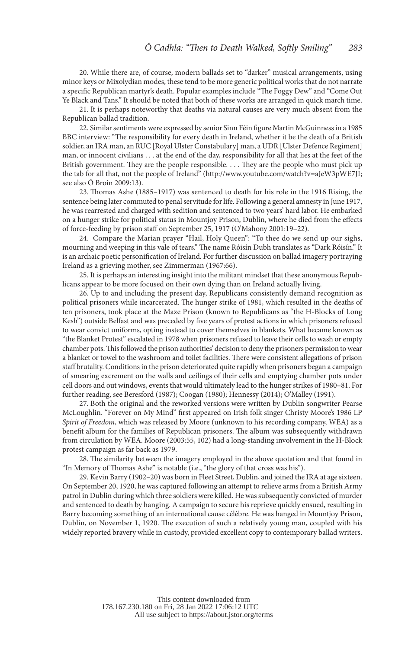20. While there are, of course, modern ballads set to "darker" musical arrangements, using minor keys or Mixolydian modes, these tend to be more generic political works that do not narrate a specific Republican martyr's death. Popular examples include "The Foggy Dew" and "Come Out Ye Black and Tans." It should be noted that both of these works are arranged in quick march time.

 21. It is perhaps noteworthy that deaths via natural causes are very much absent from the Republican ballad tradition.

 22. Similar sentiments were expressed by senior Sinn Féin figure Martin McGuinness in a 1985 BBC interview: "The responsibility for every death in Ireland, whether it be the death of a British soldier, an IRA man, an RUC [Royal Ulster Constabulary] man, a UDR [Ulster Defence Regiment] man, or innocent civilians . . . at the end of the day, responsibility for all that lies at the feet of the British government. They are the people responsible. . . . They are the people who must pick up the tab for all that, not the people of Ireland" (http://www.youtube.com/watch?v=aJeW3pWE7JI; see also Ó Broin 2009:13).

 23. Thomas Ashe (1885–1917) was sentenced to death for his role in the 1916 Rising, the sentence being later commuted to penal servitude for life. Following a general amnesty in June 1917, he was rearrested and charged with sedition and sentenced to two years' hard labor. He embarked on a hunger strike for political status in Mountjoy Prison, Dublin, where he died from the effects of force- feeding by prison staff on September 25, 1917 (O'Mahony 2001:19–22).

 24. Compare the Marian prayer "Hail, Holy Queen": "To thee do we send up our sighs, mourning and weeping in this vale of tears." The name Róisín Dubh translates as "Dark Róisín." It is an archaic poetic personification of Ireland. For further discussion on ballad imagery portraying Ireland as a grieving mother, see Zimmerman (1967:66).

 25. It is perhaps an interesting insight into the militant mindset that these anonymous Republicans appear to be more focused on their own dying than on Ireland actually living.

 26. Up to and including the present day, Republicans consistently demand recognition as political prisoners while incarcerated. The hunger strike of 1981, which resulted in the deaths of ten prisoners, took place at the Maze Prison (known to Republicans as "the H- Blocks of Long Kesh") outside Belfast and was preceded by five years of protest actions in which prisoners refused to wear convict uniforms, opting instead to cover themselves in blankets. What became known as "the Blanket Protest" escalated in 1978 when prisoners refused to leave their cells to wash or empty chamber pots. This followed the prison authorities' decision to deny the prisoners permission to wear a blanket or towel to the washroom and toilet facilities. There were consistent allegations of prison staff brutality. Conditions in the prison deteriorated quite rapidly when prisoners began a campaign of smearing excrement on the walls and ceilings of their cells and emptying chamber pots under cell doors and out windows, events that would ultimately lead to the hunger strikes of 1980–81. For further reading, see Beresford (1987); Coogan (1980); Hennessy (2014); O'Malley (1991).

 27. Both the original and the reworked versions were written by Dublin songwriter Pearse McLoughlin. "Forever on My Mind" first appeared on Irish folk singer Christy Moore's 1986 LP *Spirit of Freedom*, which was released by Moore (unknown to his recording company, WEA) as a benefit album for the families of Republican prisoners. The album was subsequently withdrawn from circulation by WEA. Moore (2003:55, 102) had a long- standing involvement in the H- Block protest campaign as far back as 1979.

 28. The similarity between the imagery employed in the above quotation and that found in "In Memory of Thomas Ashe" is notable (i.e., "the glory of that cross was his").

 29. Kevin Barry (1902–20) was born in Fleet Street, Dublin, and joined the IRA at age sixteen. On September 20, 1920, he was captured following an attempt to relieve arms from a British Army patrol in Dublin during which three soldiers were killed. He was subsequently convicted of murder and sentenced to death by hanging. A campaign to secure his reprieve quickly ensued, resulting in Barry becoming something of an international cause célèbre. He was hanged in Mountjoy Prison, Dublin, on November 1, 1920. The execution of such a relatively young man, coupled with his widely reported bravery while in custody, provided excellent copy to contemporary ballad writers.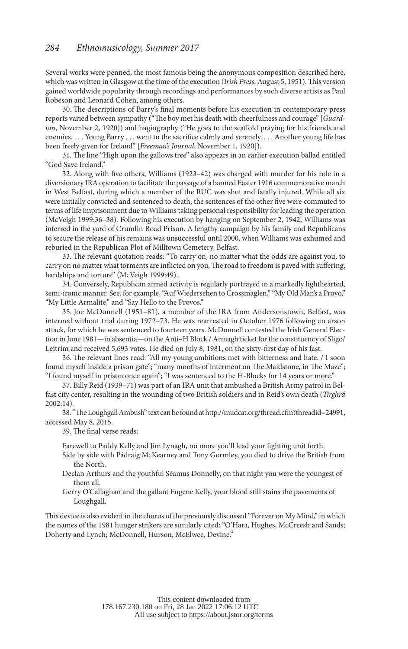Several works were penned, the most famous being the anonymous composition described here, which was written in Glasgow at the time of the execution (*Irish Press*, August 5, 1951). This version gained worldwide popularity through recordings and performances by such diverse artists as Paul Robeson and Leonard Cohen, among others.

 30. The descriptions of Barry's final moments before his execution in contemporary press reports varied between sympathy ("The boy met his death with cheerfulness and courage" [*Guardian*, November 2, 1920]) and hagiography ("He goes to the scaffold praying for his friends and enemies. . . . Young Barry . . . went to the sacrifice calmly and serenely. . . . Another young life has been freely given for Ireland" [*Freeman's Journal*, November 1, 1920]).

 31. The line "High upon the gallows tree" also appears in an earlier execution ballad entitled "God Save Ireland."

 32. Along with five others, Williams (1923–42) was charged with murder for his role in a diversionary IRA operation to facilitate the passage of a banned Easter 1916 commemorative march in West Belfast, during which a member of the RUC was shot and fatally injured. While all six were initially convicted and sentenced to death, the sentences of the other five were commuted to terms of life imprisonment due to Williams taking personal responsibility for leading the operation (McVeigh 1999:36–38). Following his execution by hanging on September 2, 1942, Williams was interred in the yard of Crumlin Road Prison. A lengthy campaign by his family and Republicans to secure the release of his remains was unsuccessful until 2000, when Williams was exhumed and reburied in the Republican Plot of Milltown Cemetery, Belfast.

 33. The relevant quotation reads: "To carry on, no matter what the odds are against you, to carry on no matter what torments are inflicted on you. The road to freedom is paved with suffering, hardships and torture" (McVeigh 1999:49).

 34. Conversely, Republican armed activity is regularly portrayed in a markedly lighthearted, semi- ironic manner. See, for example, "Auf Wiedersehen to Crossmaglen," "My Old Man's a Provo," "My Little Armalite," and "Say Hello to the Provos."

 35. Joe McDonnell (1951–81), a member of the IRA from Andersonstown, Belfast, was interned without trial during 1972–73. He was rearrested in October 1976 following an arson attack, for which he was sentenced to fourteen years. McDonnell contested the Irish General Election in June 1981—in absentia—on the Anti**–**H Block / Armagh ticket for the constituency of Sligo/ Leitrim and received 5,693 votes. He died on July 8, 1981, on the sixty-first day of his fast.

 36. The relevant lines read: "All my young ambitions met with bitterness and hate. / I soon found myself inside a prison gate"; "many months of interment on The Maidstone, in The Maze"; "I found myself in prison once again"; "I was sentenced to the H- Blocks for 14 years or more."

 37. Billy Reid (1939–71) was part of an IRA unit that ambushed a British Army patrol in Belfast city center, resulting in the wounding of two British soldiers and in Reid's own death (*Tírghrá* 2002:14).

 38. "The Loughgall Ambush" text can be found at http://mudcat.org/thread.cfm?threadid=24991, accessed May 8, 2015.

39. The final verse reads:

Farewell to Paddy Kelly and Jim Lynagh, no more you'll lead your fighting unit forth. Side by side with Pádraig McKearney and Tony Gormley, you died to drive the British from

- the North.
- Declan Arthurs and the youthful Séamus Donnelly, on that night you were the youngest of them all.
- Gerry O'Callaghan and the gallant Eugene Kelly, your blood still stains the pavements of Loughgall.

This device is also evident in the chorus of the previously discussed "Forever on My Mind," in which the names of the 1981 hunger strikers are similarly cited: "O'Hara, Hughes, McCreesh and Sands; Doherty and Lynch; McDonnell, Hurson, McElwee, Devine."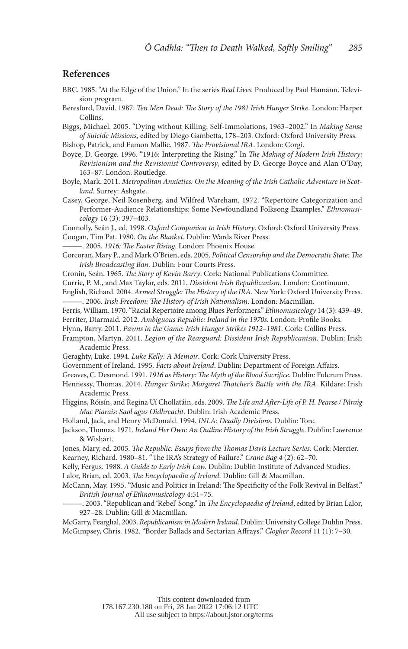#### **References**

BBC. 1985. "At the Edge of the Union." In the series *Real Lives.* Produced by Paul Hamann. Television program.

Beresford, David. 1987. *Ten Men Dead: The Story of the 1981 Irish Hunger Strike*. London: Harper Collins.

Biggs, Michael. 2005. "Dying without Killing: Self- Immolations, 1963–2002." In *Making Sense of Suicide Missions*, edited by Diego Gambetta, 178–203. Oxford: Oxford University Press.

Bishop, Patrick, and Eamon Mallie. 1987. *The Provisional IRA*. London: Corgi.

Boyce, D. George. 1996. "1916: Interpreting the Rising." In *The Making of Modern Irish History: Revisionism and the Revisionist Controversy*, edited by D. George Boyce and Alan O'Day, 163–87. London: Routledge.

Boyle, Mark. 2011. *Metropolitan Anxieties: On the Meaning of the Irish Catholic Adventure in Scotland*. Surrey: Ashgate.

Casey, George, Neil Rosenberg, and Wilfred Wareham. 1972. "Repertoire Categorization and Performer- Audience Relationships: Some Newfoundland Folksong Examples." *Ethnomusicology* 16 (3): 397–403.

Connolly, Seán J., ed. 1998. *Oxford Companion to Irish History*. Oxford: Oxford University Press. Coogan, Tim Pat. 1980. *On the Blanket*. Dublin: Wards River Press.

———. 2005. *1916: The Easter Rising*. London: Phoenix House.

Corcoran, Mary P., and Mark O'Brien, eds. 2005. *Political Censorship and the Democratic State: The Irish Broadcasting Ban*. Dublin: Four Courts Press.

Cronin, Seán. 1965. *The Story of Kevin Barry*. Cork: National Publications Committee.

Currie, P. M., and Max Taylor, eds. 2011. *Dissident Irish Republicanism*. London: Continuum.

English, Richard. 2004. *Armed Struggle: The History of the IRA*. New York: Oxford University Press. ———. 2006. *Irish Freedom: The History of Irish Nationalism*. London: Macmillan.

- Ferris, William. 1970. "Racial Repertoire among Blues Performers." *Ethnomusicology* 14 (3): 439–49.
- Ferriter, Diarmaid. 2012. *Ambiguous Republic: Ireland in the 1970s*. London: Profile Books.
- Flynn, Barry. 2011. *Pawns in the Game: Irish Hunger Strikes 1912–1981*. Cork: Collins Press.
- Frampton, Martyn. 2011. *Legion of the Rearguard: Dissident Irish Republicanism.* Dublin: Irish Academic Press.
- Geraghty, Luke. 1994. *Luke Kelly: A Memoir*. Cork: Cork University Press.

Government of Ireland. 1995. *Facts about Ireland*. Dublin: Department of Foreign Affairs.

- Greaves, C. Desmond. 1991. *1916 as History: The Myth of the Blood Sacrifice*. Dublin: Fulcrum Press. Hennessy, Thomas. 2014. *Hunger Strike: Margaret Thatcher's Battle with the IRA.* Kildare: Irish Academic Press.
- Higgins, Róisín, and Regina Uí Chollatáin, eds. 2009. *The Life and After- Life of P. H. Pearse / Páraig Mac Piarais: Saol agus Oidhreacht*. Dublin: Irish Academic Press.

Holland, Jack, and Henry McDonald. 1994. *INLA: Deadly Divisions*. Dublin: Torc.

Jackson, Thomas. 1971. *Ireland Her Own: An Outline History of the Irish Struggle*. Dublin: Lawrence & Wishart.

Jones, Mary, ed. 2005. *The Republic: Essays from the Thomas Davis Lecture Series.* Cork: Mercier. Kearney, Richard. 1980–81. "The IRA's Strategy of Failure." *Crane Bag 4* (2): 62–70.

Kelly, Fergus. 1988. *A Guide to Early Irish Law.* Dublin: Dublin Institute of Advanced Studies. Lalor, Brian, ed. 2003. *The Encyclopaedia of Ireland*. Dublin: Gill & Macmillan.

McCann, May. 1995. "Music and Politics in Ireland: The Specificity of the Folk Revival in Belfast." *British Journal of Ethnomusicology* 4:51–75.

———. 2003. "Republican and 'Rebel' Song." In *The Encyclopaedia of Ireland*, edited by Brian Lalor, 927–28. Dublin: Gill & Macmillan.

McGarry, Fearghal. 2003. *Republicanism in Modern Ireland*. Dublin: University College Dublin Press. McGimpsey, Chris. 1982. "Border Ballads and Sectarian Affrays." *Clogher Record* 11 (1): 7–30.